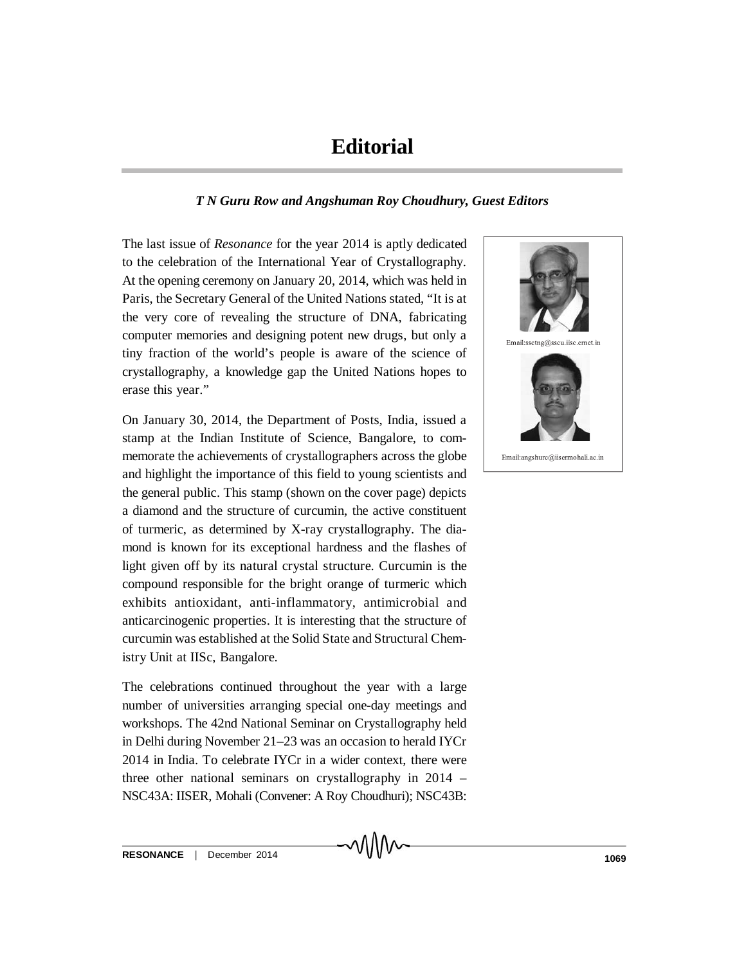## *T N Guru Row and Angshuman Roy Choudhury, Guest Editors*

The last issue of *Resonance* for the year 2014 is aptly dedicated to the celebration of the International Year of Crystallography. At the opening ceremony on January 20, 2014, which was held in Paris, the Secretary General of the United Nations stated, "It is at the very core of revealing the structure of DNA, fabricating computer memories and designing potent new drugs, but only a tiny fraction of the world's people is aware of the science of crystallography, a knowledge gap the United Nations hopes to erase this year."

On January 30, 2014, the Department of Posts, India, issued a stamp at the Indian Institute of Science, Bangalore, to commemorate the achievements of crystallographers across the globe and highlight the importance of this field to young scientists and the general public. This stamp (shown on the cover page) depicts a diamond and the structure of curcumin, the active constituent of turmeric, as determined by X-ray crystallography. The diamond is known for its exceptional hardness and the flashes of light given off by its natural crystal structure. Curcumin is the compound responsible for the bright orange of turmeric which exhibits antioxidant, anti-inflammatory, antimicrobial and anticarcinogenic properties. It is interesting that the structure of curcumin was established at the Solid State and Structural Chemistry Unit at IISc, Bangalore.

The celebrations continued throughout the year with a large number of universities arranging special one-day meetings and workshops. The 42nd National Seminar on Crystallography held in Delhi during November 21–23 was an occasion to herald IYCr 2014 in India. To celebrate IYCr in a wider context, there were three other national seminars on crystallography in 2014 – NSC43A: IISER, Mohali (Convener: A Roy Choudhuri); NSC43B: